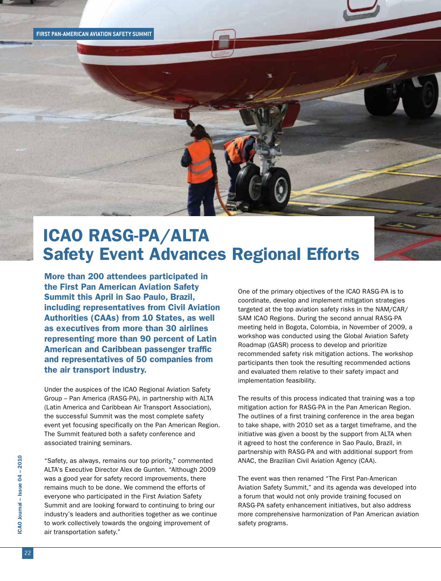## ICAO RASG-PA/ALTA Safety Event Advances Regional Efforts

More than 200 attendees participated in the First Pan American Aviation Safety Summit this April in Sao Paulo, Brazil, including representatives from Civil Aviation Authorities (CAAs) from 10 States, as well as executives from more than 30 airlines representing more than 90 percent of Latin American and Caribbean passenger traffic and representatives of 50 companies from the air transport industry.

Under the auspices of the ICAO Regional Aviation Safety Group – Pan America (RASG-PA), in partnership with ALTA (Latin America and Caribbean Air Transport Association), the successful Summit was the most complete safety event yet focusing specifically on the Pan American Region. The Summit featured both a safety conference and associated training seminars.

"Safety, as always, remains our top priority," commented ALTA's Executive Director Alex de Gunten. "Although 2009 was a good year for safety record improvements, there remains much to be done. We commend the efforts of everyone who participated in the First Aviation Safety Summit and are looking forward to continuing to bring our industry's leaders and authorities together as we continue to work collectively towards the ongoing improvement of air transportation safety."

One of the primary objectives of the ICAO RASG-PA is to coordinate, develop and implement mitigation strategies targeted at the top aviation safety risks in the NAM/CAR/ SAM ICAO Regions. During the second annual RASG-PA meeting held in Bogota, Colombia, in November of 2009, a workshop was conducted using the Global Aviation Safety Roadmap (GASR) process to develop and prioritize recommended safety risk mitigation actions. The workshop participants then took the resulting recommended actions and evaluated them relative to their safety impact and implementation feasibility.

The results of this process indicated that training was a top mitigation action for RASG-PA in the Pan American Region. The outlines of a first training conference in the area began to take shape, with 2010 set as a target timeframe, and the initiative was given a boost by the support from ALTA when it agreed to host the conference in Sao Paulo, Brazil, in partnership with RASG-PA and with additional support from ANAC, the Brazilian Civil Aviation Agency (CAA).

The event was then renamed "The First Pan-American Aviation Safety Summit," and its agenda was developed into a forum that would not only provide training focused on RASG-PA safety enhancement initiatives, but also address more comprehensive harmonization of Pan American aviation safety programs.